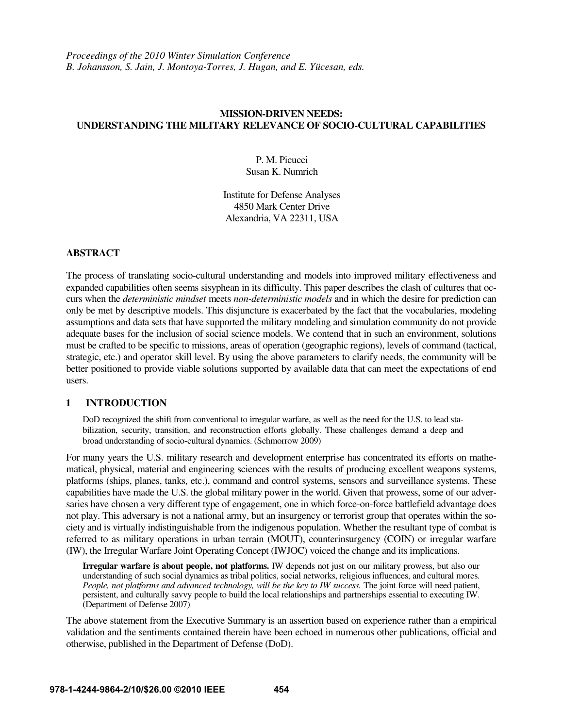# **MISSION-DRIVEN NEEDS: UNDERSTANDING THE MILITARY RELEVANCE OF SOCIO-CULTURAL CAPABILITIES**

# P. M. Picucci Susan K. Numrich

Institute for Defense Analyses 4850 Mark Center Drive Alexandria, VA 22311, USA

# **ABSTRACT**

The process of translating socio-cultural understanding and models into improved military effectiveness and expanded capabilities often seems sisyphean in its difficulty. This paper describes the clash of cultures that occurs when the *deterministic mindset* meets *non-deterministic models* and in which the desire for prediction can only be met by descriptive models. This disjuncture is exacerbated by the fact that the vocabularies, modeling assumptions and data sets that have supported the military modeling and simulation community do not provide adequate bases for the inclusion of social science models. We contend that in such an environment, solutions must be crafted to be specific to missions, areas of operation (geographic regions), levels of command (tactical, strategic, etc.) and operator skill level. By using the above parameters to clarify needs, the community will be better positioned to provide viable solutions supported by available data that can meet the expectations of end users.

#### **1 INTRODUCTION**

DoD recognized the shift from conventional to irregular warfare, as well as the need for the U.S. to lead stabilization, security, transition, and reconstruction efforts globally. These challenges demand a deep and broad understanding of socio-cultural dynamics. (Schmorrow 2009)

For many years the U.S. military research and development enterprise has concentrated its efforts on mathematical, physical, material and engineering sciences with the results of producing excellent weapons systems, platforms (ships, planes, tanks, etc.), command and control systems, sensors and surveillance systems. These capabilities have made the U.S. the global military power in the world. Given that prowess, some of our adversaries have chosen a very different type of engagement, one in which force-on-force battlefield advantage does not play. This adversary is not a national army, but an insurgency or terrorist group that operates within the society and is virtually indistinguishable from the indigenous population. Whether the resultant type of combat is referred to as military operations in urban terrain (MOUT), counterinsurgency (COIN) or irregular warfare (IW), the Irregular Warfare Joint Operating Concept (IWJOC) voiced the change and its implications.

**Irregular warfare is about people, not platforms.** IW depends not just on our military prowess, but also our understanding of such social dynamics as tribal politics, social networks, religious influences, and cultural mores. *People, not platforms and advanced technology, will be the key to IW success.* The joint force will need patient, persistent, and culturally savvy people to build the local relationships and partnerships essential to executing IW. (Department of Defense 2007)

The above statement from the Executive Summary is an assertion based on experience rather than a empirical validation and the sentiments contained therein have been echoed in numerous other publications, official and otherwise, published in the Department of Defense (DoD).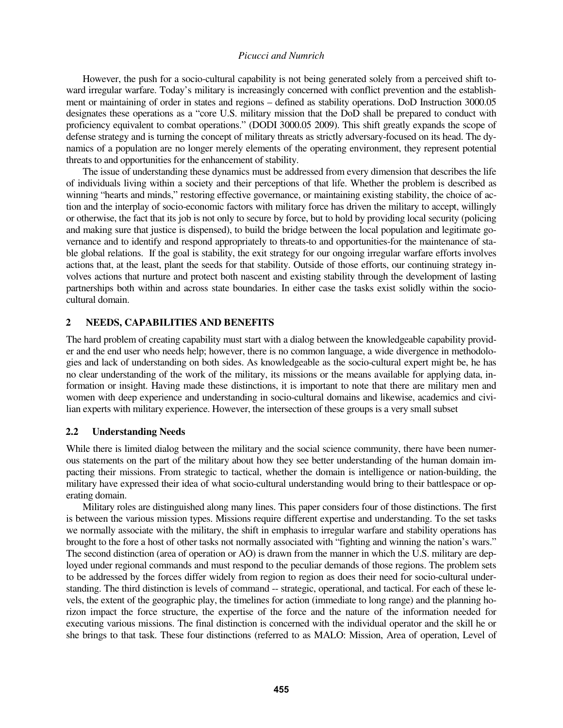However, the push for a socio-cultural capability is not being generated solely from a perceived shift toward irregular warfare. Today's military is increasingly concerned with conflict prevention and the establishment or maintaining of order in states and regions – defined as stability operations. DoD Instruction 3000.05 designates these operations as a "core U.S. military mission that the DoD shall be prepared to conduct with proficiency equivalent to combat operations." (DODI 3000.05 2009). This shift greatly expands the scope of defense strategy and is turning the concept of military threats as strictly adversary-focused on its head. The dynamics of a population are no longer merely elements of the operating environment, they represent potential threats to and opportunities for the enhancement of stability.

 The issue of understanding these dynamics must be addressed from every dimension that describes the life of individuals living within a society and their perceptions of that life. Whether the problem is described as winning "hearts and minds," restoring effective governance, or maintaining existing stability, the choice of action and the interplay of socio-economic factors with military force has driven the military to accept, willingly or otherwise, the fact that its job is not only to secure by force, but to hold by providing local security (policing and making sure that justice is dispensed), to build the bridge between the local population and legitimate governance and to identify and respond appropriately to threats-to and opportunities-for the maintenance of stable global relations. If the goal is stability, the exit strategy for our ongoing irregular warfare efforts involves actions that, at the least, plant the seeds for that stability. Outside of those efforts, our continuing strategy involves actions that nurture and protect both nascent and existing stability through the development of lasting partnerships both within and across state boundaries. In either case the tasks exist solidly within the sociocultural domain.

### **2 NEEDS, CAPABILITIES AND BENEFITS**

The hard problem of creating capability must start with a dialog between the knowledgeable capability provider and the end user who needs help; however, there is no common language, a wide divergence in methodologies and lack of understanding on both sides. As knowledgeable as the socio-cultural expert might be, he has no clear understanding of the work of the military, its missions or the means available for applying data, information or insight. Having made these distinctions, it is important to note that there are military men and women with deep experience and understanding in socio-cultural domains and likewise, academics and civilian experts with military experience. However, the intersection of these groups is a very small subset

#### **2.2 Understanding Needs**

While there is limited dialog between the military and the social science community, there have been numerous statements on the part of the military about how they see better understanding of the human domain impacting their missions. From strategic to tactical, whether the domain is intelligence or nation-building, the military have expressed their idea of what socio-cultural understanding would bring to their battlespace or operating domain.

 Military roles are distinguished along many lines. This paper considers four of those distinctions. The first is between the various mission types. Missions require different expertise and understanding. To the set tasks we normally associate with the military, the shift in emphasis to irregular warfare and stability operations has brought to the fore a host of other tasks not normally associated with "fighting and winning the nation's wars." The second distinction (area of operation or AO) is drawn from the manner in which the U.S. military are deployed under regional commands and must respond to the peculiar demands of those regions. The problem sets to be addressed by the forces differ widely from region to region as does their need for socio-cultural understanding. The third distinction is levels of command -- strategic, operational, and tactical. For each of these levels, the extent of the geographic play, the timelines for action (immediate to long range) and the planning horizon impact the force structure, the expertise of the force and the nature of the information needed for executing various missions. The final distinction is concerned with the individual operator and the skill he or she brings to that task. These four distinctions (referred to as MALO: Mission, Area of operation, Level of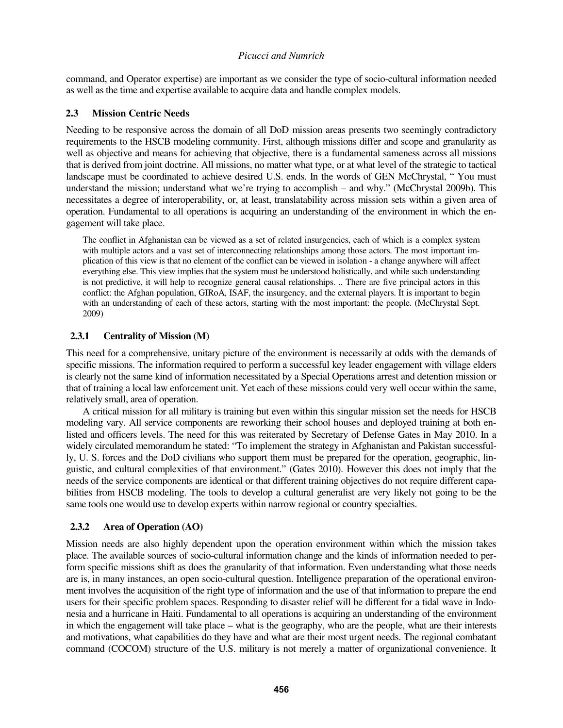command, and Operator expertise) are important as we consider the type of socio-cultural information needed as well as the time and expertise available to acquire data and handle complex models.

### **2.3 Mission Centric Needs**

Needing to be responsive across the domain of all DoD mission areas presents two seemingly contradictory requirements to the HSCB modeling community. First, although missions differ and scope and granularity as well as objective and means for achieving that objective, there is a fundamental sameness across all missions that is derived from joint doctrine. All missions, no matter what type, or at what level of the strategic to tactical landscape must be coordinated to achieve desired U.S. ends. In the words of GEN McChrystal, " You must understand the mission; understand what we're trying to accomplish – and why." (McChrystal 2009b). This necessitates a degree of interoperability, or, at least, translatability across mission sets within a given area of operation. Fundamental to all operations is acquiring an understanding of the environment in which the engagement will take place.

The conflict in Afghanistan can be viewed as a set of related insurgencies, each of which is a complex system with multiple actors and a vast set of interconnecting relationships among those actors. The most important implication of this view is that no element of the conflict can be viewed in isolation - a change anywhere will affect everything else. This view implies that the system must be understood holistically, and while such understanding is not predictive, it will help to recognize general causal relationships. .. There are five principal actors in this conflict: the Afghan population, GIRoA, ISAF, the insurgency, and the external players. It is important to begin with an understanding of each of these actors, starting with the most important: the people. (McChrystal Sept. 2009)

### **2.3.1 Centrality of Mission (M)**

This need for a comprehensive, unitary picture of the environment is necessarily at odds with the demands of specific missions. The information required to perform a successful key leader engagement with village elders is clearly not the same kind of information necessitated by a Special Operations arrest and detention mission or that of training a local law enforcement unit. Yet each of these missions could very well occur within the same, relatively small, area of operation.

 A critical mission for all military is training but even within this singular mission set the needs for HSCB modeling vary. All service components are reworking their school houses and deployed training at both enlisted and officers levels. The need for this was reiterated by Secretary of Defense Gates in May 2010. In a widely circulated memorandum he stated: "To implement the strategy in Afghanistan and Pakistan successfully, U. S. forces and the DoD civilians who support them must be prepared for the operation, geographic, linguistic, and cultural complexities of that environment." (Gates 2010). However this does not imply that the needs of the service components are identical or that different training objectives do not require different capabilities from HSCB modeling. The tools to develop a cultural generalist are very likely not going to be the same tools one would use to develop experts within narrow regional or country specialties.

#### **2.3.2 Area of Operation (AO)**

Mission needs are also highly dependent upon the operation environment within which the mission takes place. The available sources of socio-cultural information change and the kinds of information needed to perform specific missions shift as does the granularity of that information. Even understanding what those needs are is, in many instances, an open socio-cultural question. Intelligence preparation of the operational environment involves the acquisition of the right type of information and the use of that information to prepare the end users for their specific problem spaces. Responding to disaster relief will be different for a tidal wave in Indonesia and a hurricane in Haiti. Fundamental to all operations is acquiring an understanding of the environment in which the engagement will take place – what is the geography, who are the people, what are their interests and motivations, what capabilities do they have and what are their most urgent needs. The regional combatant command (COCOM) structure of the U.S. military is not merely a matter of organizational convenience. It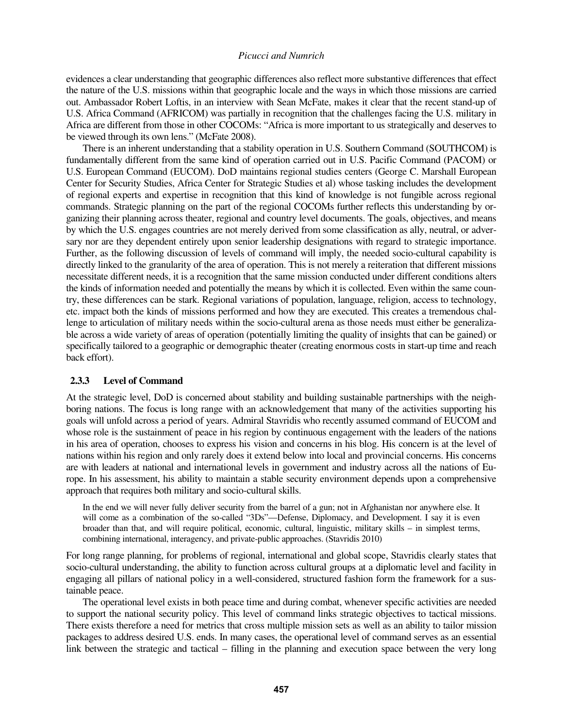evidences a clear understanding that geographic differences also reflect more substantive differences that effect the nature of the U.S. missions within that geographic locale and the ways in which those missions are carried out. Ambassador Robert Loftis, in an interview with Sean McFate, makes it clear that the recent stand-up of U.S. Africa Command (AFRICOM) was partially in recognition that the challenges facing the U.S. military in Africa are different from those in other COCOMs: "Africa is more important to us strategically and deserves to be viewed through its own lens." (McFate 2008).

There is an inherent understanding that a stability operation in U.S. Southern Command (SOUTHCOM) is fundamentally different from the same kind of operation carried out in U.S. Pacific Command (PACOM) or U.S. European Command (EUCOM). DoD maintains regional studies centers (George C. Marshall European Center for Security Studies, Africa Center for Strategic Studies et al) whose tasking includes the development of regional experts and expertise in recognition that this kind of knowledge is not fungible across regional commands. Strategic planning on the part of the regional COCOMs further reflects this understanding by organizing their planning across theater, regional and country level documents. The goals, objectives, and means by which the U.S. engages countries are not merely derived from some classification as ally, neutral, or adversary nor are they dependent entirely upon senior leadership designations with regard to strategic importance. Further, as the following discussion of levels of command will imply, the needed socio-cultural capability is directly linked to the granularity of the area of operation. This is not merely a reiteration that different missions necessitate different needs, it is a recognition that the same mission conducted under different conditions alters the kinds of information needed and potentially the means by which it is collected. Even within the same country, these differences can be stark. Regional variations of population, language, religion, access to technology, etc. impact both the kinds of missions performed and how they are executed. This creates a tremendous challenge to articulation of military needs within the socio-cultural arena as those needs must either be generalizable across a wide variety of areas of operation (potentially limiting the quality of insights that can be gained) or specifically tailored to a geographic or demographic theater (creating enormous costs in start-up time and reach back effort).

# **2.3.3 Level of Command**

At the strategic level, DoD is concerned about stability and building sustainable partnerships with the neighboring nations. The focus is long range with an acknowledgement that many of the activities supporting his goals will unfold across a period of years. Admiral Stavridis who recently assumed command of EUCOM and whose role is the sustainment of peace in his region by continuous engagement with the leaders of the nations in his area of operation, chooses to express his vision and concerns in his blog. His concern is at the level of nations within his region and only rarely does it extend below into local and provincial concerns. His concerns are with leaders at national and international levels in government and industry across all the nations of Europe. In his assessment, his ability to maintain a stable security environment depends upon a comprehensive approach that requires both military and socio-cultural skills.

In the end we will never fully deliver security from the barrel of a gun; not in Afghanistan nor anywhere else. It will come as a combination of the so-called "3Ds"—Defense, Diplomacy, and Development. I say it is even broader than that, and will require political, economic, cultural, linguistic, military skills – in simplest terms, combining international, interagency, and private-public approaches. (Stavridis 2010)

For long range planning, for problems of regional, international and global scope, Stavridis clearly states that socio-cultural understanding, the ability to function across cultural groups at a diplomatic level and facility in engaging all pillars of national policy in a well-considered, structured fashion form the framework for a sustainable peace.

 The operational level exists in both peace time and during combat, whenever specific activities are needed to support the national security policy. This level of command links strategic objectives to tactical missions. There exists therefore a need for metrics that cross multiple mission sets as well as an ability to tailor mission packages to address desired U.S. ends. In many cases, the operational level of command serves as an essential link between the strategic and tactical – filling in the planning and execution space between the very long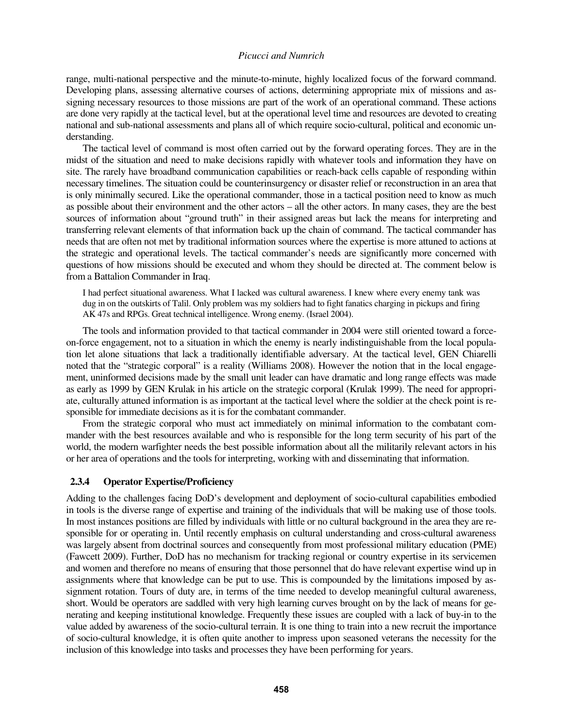range, multi-national perspective and the minute-to-minute, highly localized focus of the forward command. Developing plans, assessing alternative courses of actions, determining appropriate mix of missions and assigning necessary resources to those missions are part of the work of an operational command. These actions are done very rapidly at the tactical level, but at the operational level time and resources are devoted to creating national and sub-national assessments and plans all of which require socio-cultural, political and economic understanding.

 The tactical level of command is most often carried out by the forward operating forces. They are in the midst of the situation and need to make decisions rapidly with whatever tools and information they have on site. The rarely have broadband communication capabilities or reach-back cells capable of responding within necessary timelines. The situation could be counterinsurgency or disaster relief or reconstruction in an area that is only minimally secured. Like the operational commander, those in a tactical position need to know as much as possible about their environment and the other actors – all the other actors. In many cases, they are the best sources of information about "ground truth" in their assigned areas but lack the means for interpreting and transferring relevant elements of that information back up the chain of command. The tactical commander has needs that are often not met by traditional information sources where the expertise is more attuned to actions at the strategic and operational levels. The tactical commander's needs are significantly more concerned with questions of how missions should be executed and whom they should be directed at. The comment below is from a Battalion Commander in Iraq.

I had perfect situational awareness. What I lacked was cultural awareness. I knew where every enemy tank was dug in on the outskirts of Talil. Only problem was my soldiers had to fight fanatics charging in pickups and firing AK 47s and RPGs. Great technical intelligence. Wrong enemy. (Israel 2004).

 The tools and information provided to that tactical commander in 2004 were still oriented toward a forceon-force engagement, not to a situation in which the enemy is nearly indistinguishable from the local population let alone situations that lack a traditionally identifiable adversary. At the tactical level, GEN Chiarelli noted that the "strategic corporal" is a reality (Williams 2008). However the notion that in the local engagement, uninformed decisions made by the small unit leader can have dramatic and long range effects was made as early as 1999 by GEN Krulak in his article on the strategic corporal (Krulak 1999). The need for appropriate, culturally attuned information is as important at the tactical level where the soldier at the check point is responsible for immediate decisions as it is for the combatant commander.

 From the strategic corporal who must act immediately on minimal information to the combatant commander with the best resources available and who is responsible for the long term security of his part of the world, the modern warfighter needs the best possible information about all the militarily relevant actors in his or her area of operations and the tools for interpreting, working with and disseminating that information.

#### **2.3.4 Operator Expertise/Proficiency**

Adding to the challenges facing DoD's development and deployment of socio-cultural capabilities embodied in tools is the diverse range of expertise and training of the individuals that will be making use of those tools. In most instances positions are filled by individuals with little or no cultural background in the area they are responsible for or operating in. Until recently emphasis on cultural understanding and cross-cultural awareness was largely absent from doctrinal sources and consequently from most professional military education (PME) (Fawcett 2009). Further, DoD has no mechanism for tracking regional or country expertise in its servicemen and women and therefore no means of ensuring that those personnel that do have relevant expertise wind up in assignments where that knowledge can be put to use. This is compounded by the limitations imposed by assignment rotation. Tours of duty are, in terms of the time needed to develop meaningful cultural awareness, short. Would be operators are saddled with very high learning curves brought on by the lack of means for generating and keeping institutional knowledge. Frequently these issues are coupled with a lack of buy-in to the value added by awareness of the socio-cultural terrain. It is one thing to train into a new recruit the importance of socio-cultural knowledge, it is often quite another to impress upon seasoned veterans the necessity for the inclusion of this knowledge into tasks and processes they have been performing for years.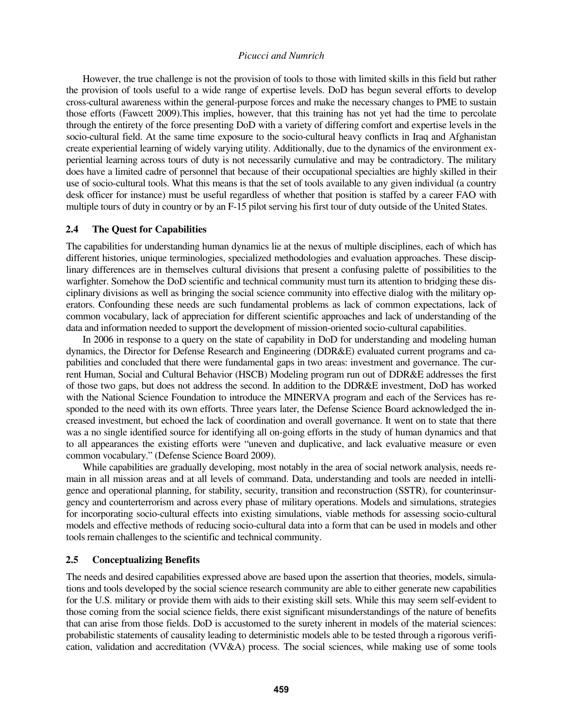However, the true challenge is not the provision of tools to those with limited skills in this field but rather the provision of tools useful to a wide range of expertise levels. DoD has begun several efforts to develop cross-cultural awareness within the general-purpose forces and make the necessary changes to PME to sustain those efforts (Fawcett 2009).This implies, however, that this training has not yet had the time to percolate through the entirety of the force presenting DoD with a variety of differing comfort and expertise levels in the socio-cultural field. At the same time exposure to the socio-cultural heavy conflicts in Iraq and Afghanistan create experiential learning of widely varying utility. Additionally, due to the dynamics of the environment experiential learning across tours of duty is not necessarily cumulative and may be contradictory. The military does have a limited cadre of personnel that because of their occupational specialties are highly skilled in their use of socio-cultural tools. What this means is that the set of tools available to any given individual (a country desk officer for instance) must be useful regardless of whether that position is staffed by a career FAO with multiple tours of duty in country or by an F-15 pilot serving his first tour of duty outside of the United States.

### **2.4 The Quest for Capabilities**

The capabilities for understanding human dynamics lie at the nexus of multiple disciplines, each of which has different histories, unique terminologies, specialized methodologies and evaluation approaches. These disciplinary differences are in themselves cultural divisions that present a confusing palette of possibilities to the warfighter. Somehow the DoD scientific and technical community must turn its attention to bridging these disciplinary divisions as well as bringing the social science community into effective dialog with the military operators. Confounding these needs are such fundamental problems as lack of common expectations, lack of common vocabulary, lack of appreciation for different scientific approaches and lack of understanding of the data and information needed to support the development of mission-oriented socio-cultural capabilities.

 In 2006 in response to a query on the state of capability in DoD for understanding and modeling human dynamics, the Director for Defense Research and Engineering (DDR&E) evaluated current programs and capabilities and concluded that there were fundamental gaps in two areas: investment and governance. The current Human, Social and Cultural Behavior (HSCB) Modeling program run out of DDR&E addresses the first of those two gaps, but does not address the second. In addition to the DDR&E investment, DoD has worked with the National Science Foundation to introduce the MINERVA program and each of the Services has responded to the need with its own efforts. Three years later, the Defense Science Board acknowledged the increased investment, but echoed the lack of coordination and overall governance. It went on to state that there was a no single identified source for identifying all on-going efforts in the study of human dynamics and that to all appearances the existing efforts were "uneven and duplicative, and lack evaluative measure or even common vocabulary." (Defense Science Board 2009).

While capabilities are gradually developing, most notably in the area of social network analysis, needs remain in all mission areas and at all levels of command. Data, understanding and tools are needed in intelligence and operational planning, for stability, security, transition and reconstruction (SSTR), for counterinsurgency and counterterrorism and across every phase of military operations. Models and simulations, strategies for incorporating socio-cultural effects into existing simulations, viable methods for assessing socio-cultural models and effective methods of reducing socio-cultural data into a form that can be used in models and other tools remain challenges to the scientific and technical community.

#### **2.5 Conceptualizing Benefits**

The needs and desired capabilities expressed above are based upon the assertion that theories, models, simulations and tools developed by the social science research community are able to either generate new capabilities for the U.S. military or provide them with aids to their existing skill sets. While this may seem self-evident to those coming from the social science fields, there exist significant misunderstandings of the nature of benefits that can arise from those fields. DoD is accustomed to the surety inherent in models of the material sciences: probabilistic statements of causality leading to deterministic models able to be tested through a rigorous verification, validation and accreditation (VV&A) process. The social sciences, while making use of some tools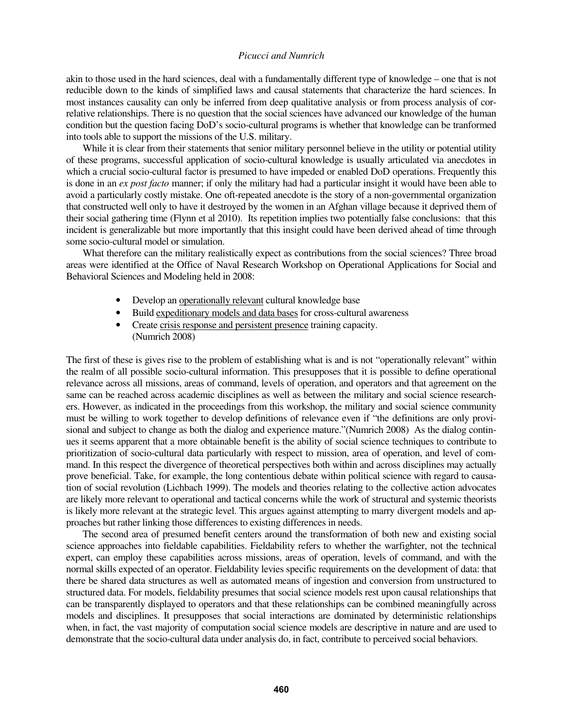akin to those used in the hard sciences, deal with a fundamentally different type of knowledge – one that is not reducible down to the kinds of simplified laws and causal statements that characterize the hard sciences. In most instances causality can only be inferred from deep qualitative analysis or from process analysis of correlative relationships. There is no question that the social sciences have advanced our knowledge of the human condition but the question facing DoD's socio-cultural programs is whether that knowledge can be tranformed into tools able to support the missions of the U.S. military.

While it is clear from their statements that senior military personnel believe in the utility or potential utility of these programs, successful application of socio-cultural knowledge is usually articulated via anecdotes in which a crucial socio-cultural factor is presumed to have impeded or enabled DoD operations. Frequently this is done in an *ex post facto* manner; if only the military had had a particular insight it would have been able to avoid a particularly costly mistake. One oft-repeated anecdote is the story of a non-governmental organization that constructed well only to have it destroyed by the women in an Afghan village because it deprived them of their social gathering time (Flynn et al 2010). Its repetition implies two potentially false conclusions: that this incident is generalizable but more importantly that this insight could have been derived ahead of time through some socio-cultural model or simulation.

 What therefore can the military realistically expect as contributions from the social sciences? Three broad areas were identified at the Office of Naval Research Workshop on Operational Applications for Social and Behavioral Sciences and Modeling held in 2008:

- Develop an operationally relevant cultural knowledge base
- Build expeditionary models and data bases for cross-cultural awareness
- Create crisis response and persistent presence training capacity. (Numrich 2008)

The first of these is gives rise to the problem of establishing what is and is not "operationally relevant" within the realm of all possible socio-cultural information. This presupposes that it is possible to define operational relevance across all missions, areas of command, levels of operation, and operators and that agreement on the same can be reached across academic disciplines as well as between the military and social science researchers. However, as indicated in the proceedings from this workshop, the military and social science community must be willing to work together to develop definitions of relevance even if "the definitions are only provisional and subject to change as both the dialog and experience mature."(Numrich 2008) As the dialog continues it seems apparent that a more obtainable benefit is the ability of social science techniques to contribute to prioritization of socio-cultural data particularly with respect to mission, area of operation, and level of command. In this respect the divergence of theoretical perspectives both within and across disciplines may actually prove beneficial. Take, for example, the long contentious debate within political science with regard to causation of social revolution (Lichbach 1999). The models and theories relating to the collective action advocates are likely more relevant to operational and tactical concerns while the work of structural and systemic theorists is likely more relevant at the strategic level. This argues against attempting to marry divergent models and approaches but rather linking those differences to existing differences in needs.

 The second area of presumed benefit centers around the transformation of both new and existing social science approaches into fieldable capabilities. Fieldability refers to whether the warfighter, not the technical expert, can employ these capabilities across missions, areas of operation, levels of command, and with the normal skills expected of an operator. Fieldability levies specific requirements on the development of data: that there be shared data structures as well as automated means of ingestion and conversion from unstructured to structured data. For models, fieldability presumes that social science models rest upon causal relationships that can be transparently displayed to operators and that these relationships can be combined meaningfully across models and disciplines. It presupposes that social interactions are dominated by deterministic relationships when, in fact, the vast majority of computation social science models are descriptive in nature and are used to demonstrate that the socio-cultural data under analysis do, in fact, contribute to perceived social behaviors.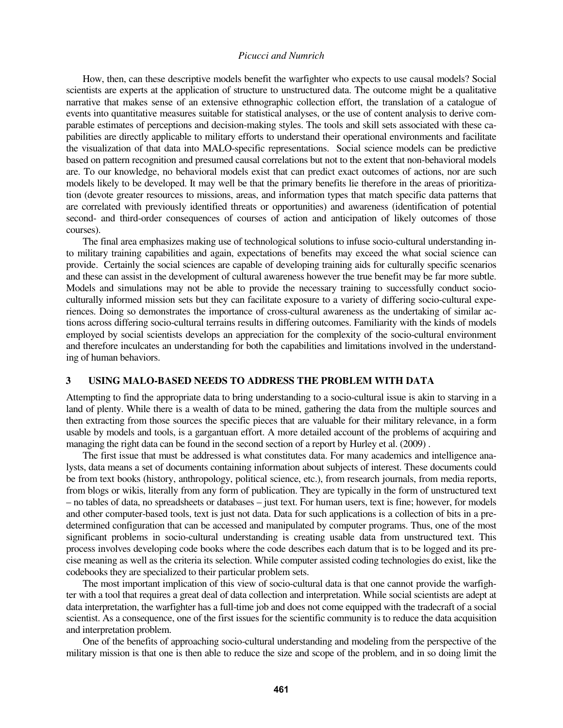How, then, can these descriptive models benefit the warfighter who expects to use causal models? Social scientists are experts at the application of structure to unstructured data. The outcome might be a qualitative narrative that makes sense of an extensive ethnographic collection effort, the translation of a catalogue of events into quantitative measures suitable for statistical analyses, or the use of content analysis to derive comparable estimates of perceptions and decision-making styles. The tools and skill sets associated with these capabilities are directly applicable to military efforts to understand their operational environments and facilitate the visualization of that data into MALO-specific representations. Social science models can be predictive based on pattern recognition and presumed causal correlations but not to the extent that non-behavioral models are. To our knowledge, no behavioral models exist that can predict exact outcomes of actions, nor are such models likely to be developed. It may well be that the primary benefits lie therefore in the areas of prioritization (devote greater resources to missions, areas, and information types that match specific data patterns that are correlated with previously identified threats or opportunities) and awareness (identification of potential second- and third-order consequences of courses of action and anticipation of likely outcomes of those courses).

 The final area emphasizes making use of technological solutions to infuse socio-cultural understanding into military training capabilities and again, expectations of benefits may exceed the what social science can provide. Certainly the social sciences are capable of developing training aids for culturally specific scenarios and these can assist in the development of cultural awareness however the true benefit may be far more subtle. Models and simulations may not be able to provide the necessary training to successfully conduct socioculturally informed mission sets but they can facilitate exposure to a variety of differing socio-cultural experiences. Doing so demonstrates the importance of cross-cultural awareness as the undertaking of similar actions across differing socio-cultural terrains results in differing outcomes. Familiarity with the kinds of models employed by social scientists develops an appreciation for the complexity of the socio-cultural environment and therefore inculcates an understanding for both the capabilities and limitations involved in the understanding of human behaviors.

#### **3 USING MALO-BASED NEEDS TO ADDRESS THE PROBLEM WITH DATA**

Attempting to find the appropriate data to bring understanding to a socio-cultural issue is akin to starving in a land of plenty. While there is a wealth of data to be mined, gathering the data from the multiple sources and then extracting from those sources the specific pieces that are valuable for their military relevance, in a form usable by models and tools, is a gargantuan effort. A more detailed account of the problems of acquiring and managing the right data can be found in the second section of a report by Hurley et al. (2009) .

 The first issue that must be addressed is what constitutes data. For many academics and intelligence analysts, data means a set of documents containing information about subjects of interest. These documents could be from text books (history, anthropology, political science, etc.), from research journals, from media reports, from blogs or wikis, literally from any form of publication. They are typically in the form of unstructured text – no tables of data, no spreadsheets or databases – just text. For human users, text is fine; however, for models and other computer-based tools, text is just not data. Data for such applications is a collection of bits in a predetermined configuration that can be accessed and manipulated by computer programs. Thus, one of the most significant problems in socio-cultural understanding is creating usable data from unstructured text. This process involves developing code books where the code describes each datum that is to be logged and its precise meaning as well as the criteria its selection. While computer assisted coding technologies do exist, like the codebooks they are specialized to their particular problem sets.

 The most important implication of this view of socio-cultural data is that one cannot provide the warfighter with a tool that requires a great deal of data collection and interpretation. While social scientists are adept at data interpretation, the warfighter has a full-time job and does not come equipped with the tradecraft of a social scientist. As a consequence, one of the first issues for the scientific community is to reduce the data acquisition and interpretation problem.

 One of the benefits of approaching socio-cultural understanding and modeling from the perspective of the military mission is that one is then able to reduce the size and scope of the problem, and in so doing limit the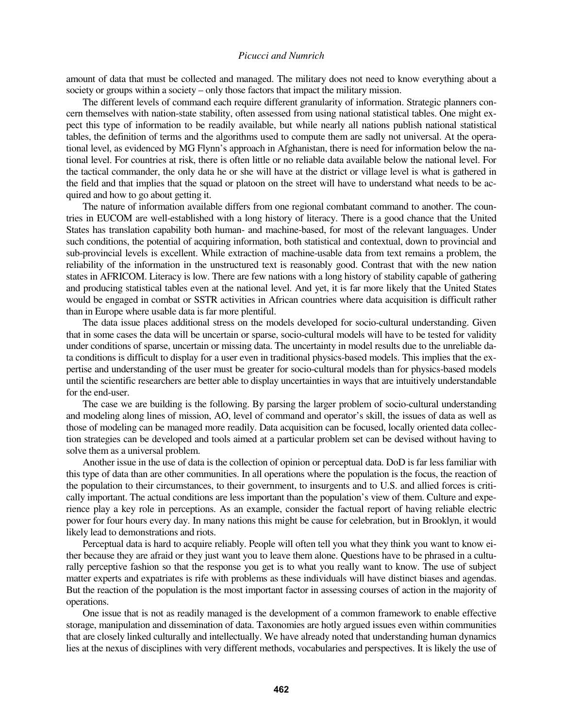amount of data that must be collected and managed. The military does not need to know everything about a society or groups within a society – only those factors that impact the military mission.

 The different levels of command each require different granularity of information. Strategic planners concern themselves with nation-state stability, often assessed from using national statistical tables. One might expect this type of information to be readily available, but while nearly all nations publish national statistical tables, the definition of terms and the algorithms used to compute them are sadly not universal. At the operational level, as evidenced by MG Flynn's approach in Afghanistan, there is need for information below the national level. For countries at risk, there is often little or no reliable data available below the national level. For the tactical commander, the only data he or she will have at the district or village level is what is gathered in the field and that implies that the squad or platoon on the street will have to understand what needs to be acquired and how to go about getting it.

 The nature of information available differs from one regional combatant command to another. The countries in EUCOM are well-established with a long history of literacy. There is a good chance that the United States has translation capability both human- and machine-based, for most of the relevant languages. Under such conditions, the potential of acquiring information, both statistical and contextual, down to provincial and sub-provincial levels is excellent. While extraction of machine-usable data from text remains a problem, the reliability of the information in the unstructured text is reasonably good. Contrast that with the new nation states in AFRICOM. Literacy is low. There are few nations with a long history of stability capable of gathering and producing statistical tables even at the national level. And yet, it is far more likely that the United States would be engaged in combat or SSTR activities in African countries where data acquisition is difficult rather than in Europe where usable data is far more plentiful.

 The data issue places additional stress on the models developed for socio-cultural understanding. Given that in some cases the data will be uncertain or sparse, socio-cultural models will have to be tested for validity under conditions of sparse, uncertain or missing data. The uncertainty in model results due to the unreliable data conditions is difficult to display for a user even in traditional physics-based models. This implies that the expertise and understanding of the user must be greater for socio-cultural models than for physics-based models until the scientific researchers are better able to display uncertainties in ways that are intuitively understandable for the end-user.

 The case we are building is the following. By parsing the larger problem of socio-cultural understanding and modeling along lines of mission, AO, level of command and operator's skill, the issues of data as well as those of modeling can be managed more readily. Data acquisition can be focused, locally oriented data collection strategies can be developed and tools aimed at a particular problem set can be devised without having to solve them as a universal problem.

 Another issue in the use of data is the collection of opinion or perceptual data. DoD is far less familiar with this type of data than are other communities. In all operations where the population is the focus, the reaction of the population to their circumstances, to their government, to insurgents and to U.S. and allied forces is critically important. The actual conditions are less important than the population's view of them. Culture and experience play a key role in perceptions. As an example, consider the factual report of having reliable electric power for four hours every day. In many nations this might be cause for celebration, but in Brooklyn, it would likely lead to demonstrations and riots.

 Perceptual data is hard to acquire reliably. People will often tell you what they think you want to know either because they are afraid or they just want you to leave them alone. Questions have to be phrased in a culturally perceptive fashion so that the response you get is to what you really want to know. The use of subject matter experts and expatriates is rife with problems as these individuals will have distinct biases and agendas. But the reaction of the population is the most important factor in assessing courses of action in the majority of operations.

 One issue that is not as readily managed is the development of a common framework to enable effective storage, manipulation and dissemination of data. Taxonomies are hotly argued issues even within communities that are closely linked culturally and intellectually. We have already noted that understanding human dynamics lies at the nexus of disciplines with very different methods, vocabularies and perspectives. It is likely the use of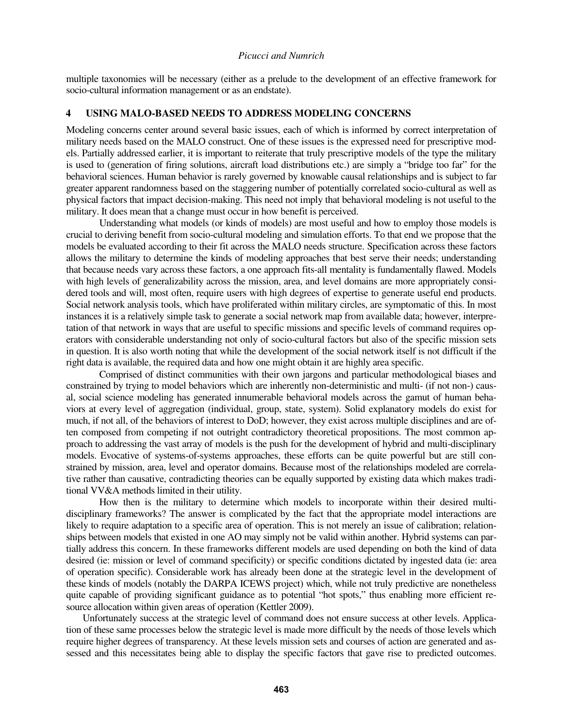multiple taxonomies will be necessary (either as a prelude to the development of an effective framework for socio-cultural information management or as an endstate).

### **4 USING MALO-BASED NEEDS TO ADDRESS MODELING CONCERNS**

Modeling concerns center around several basic issues, each of which is informed by correct interpretation of military needs based on the MALO construct. One of these issues is the expressed need for prescriptive models. Partially addressed earlier, it is important to reiterate that truly prescriptive models of the type the military is used to (generation of firing solutions, aircraft load distributions etc.) are simply a "bridge too far" for the behavioral sciences. Human behavior is rarely governed by knowable causal relationships and is subject to far greater apparent randomness based on the staggering number of potentially correlated socio-cultural as well as physical factors that impact decision-making. This need not imply that behavioral modeling is not useful to the military. It does mean that a change must occur in how benefit is perceived.

Understanding what models (or kinds of models) are most useful and how to employ those models is crucial to deriving benefit from socio-cultural modeling and simulation efforts. To that end we propose that the models be evaluated according to their fit across the MALO needs structure. Specification across these factors allows the military to determine the kinds of modeling approaches that best serve their needs; understanding that because needs vary across these factors, a one approach fits-all mentality is fundamentally flawed. Models with high levels of generalizability across the mission, area, and level domains are more appropriately considered tools and will, most often, require users with high degrees of expertise to generate useful end products. Social network analysis tools, which have proliferated within military circles, are symptomatic of this. In most instances it is a relatively simple task to generate a social network map from available data; however, interpretation of that network in ways that are useful to specific missions and specific levels of command requires operators with considerable understanding not only of socio-cultural factors but also of the specific mission sets in question. It is also worth noting that while the development of the social network itself is not difficult if the right data is available, the required data and how one might obtain it are highly area specific.

Comprised of distinct communities with their own jargons and particular methodological biases and constrained by trying to model behaviors which are inherently non-deterministic and multi- (if not non-) causal, social science modeling has generated innumerable behavioral models across the gamut of human behaviors at every level of aggregation (individual, group, state, system). Solid explanatory models do exist for much, if not all, of the behaviors of interest to DoD; however, they exist across multiple disciplines and are often composed from competing if not outright contradictory theoretical propositions. The most common approach to addressing the vast array of models is the push for the development of hybrid and multi-disciplinary models. Evocative of systems-of-systems approaches, these efforts can be quite powerful but are still constrained by mission, area, level and operator domains. Because most of the relationships modeled are correlative rather than causative, contradicting theories can be equally supported by existing data which makes traditional VV&A methods limited in their utility.

How then is the military to determine which models to incorporate within their desired multidisciplinary frameworks? The answer is complicated by the fact that the appropriate model interactions are likely to require adaptation to a specific area of operation. This is not merely an issue of calibration; relationships between models that existed in one AO may simply not be valid within another. Hybrid systems can partially address this concern. In these frameworks different models are used depending on both the kind of data desired (ie: mission or level of command specificity) or specific conditions dictated by ingested data (ie: area of operation specific). Considerable work has already been done at the strategic level in the development of these kinds of models (notably the DARPA ICEWS project) which, while not truly predictive are nonetheless quite capable of providing significant guidance as to potential "hot spots," thus enabling more efficient resource allocation within given areas of operation (Kettler 2009).

 Unfortunately success at the strategic level of command does not ensure success at other levels. Application of these same processes below the strategic level is made more difficult by the needs of those levels which require higher degrees of transparency. At these levels mission sets and courses of action are generated and assessed and this necessitates being able to display the specific factors that gave rise to predicted outcomes.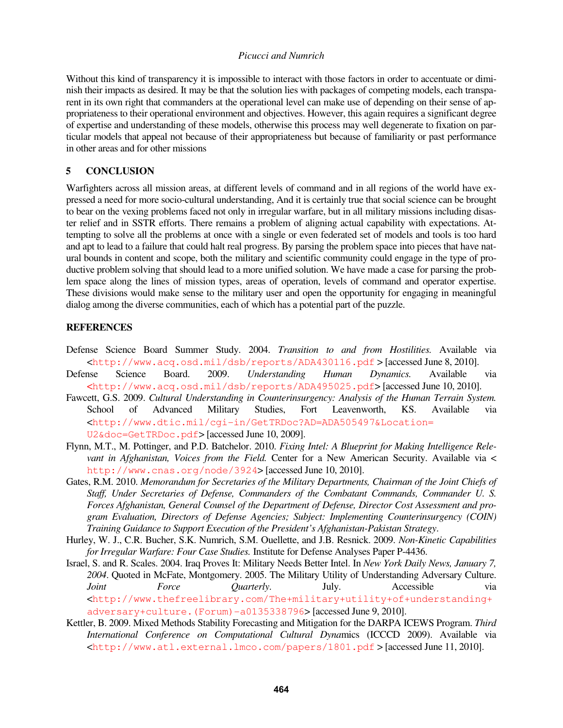Without this kind of transparency it is impossible to interact with those factors in order to accentuate or diminish their impacts as desired. It may be that the solution lies with packages of competing models, each transparent in its own right that commanders at the operational level can make use of depending on their sense of appropriateness to their operational environment and objectives. However, this again requires a significant degree of expertise and understanding of these models, otherwise this process may well degenerate to fixation on particular models that appeal not because of their appropriateness but because of familiarity or past performance in other areas and for other missions

# **5 CONCLUSION**

Warfighters across all mission areas, at different levels of command and in all regions of the world have expressed a need for more socio-cultural understanding, And it is certainly true that social science can be brought to bear on the vexing problems faced not only in irregular warfare, but in all military missions including disaster relief and in SSTR efforts. There remains a problem of aligning actual capability with expectations. Attempting to solve all the problems at once with a single or even federated set of models and tools is too hard and apt to lead to a failure that could halt real progress. By parsing the problem space into pieces that have natural bounds in content and scope, both the military and scientific community could engage in the type of productive problem solving that should lead to a more unified solution. We have made a case for parsing the problem space along the lines of mission types, areas of operation, levels of command and operator expertise. These divisions would make sense to the military user and open the opportunity for engaging in meaningful dialog among the diverse communities, each of which has a potential part of the puzzle.

### **REFERENCES**

- Defense Science Board Summer Study. 2004. *Transition to and from Hostilities.* Available via <http://www.acq.osd.mil/dsb/reports/ADA430116.pdf > [accessed June 8, 2010].
- Defense Science Board. 2009. *Understanding Human Dynamics.* Available via <http://www.acq.osd.mil/dsb/reports/ADA495025.pdf> [accessed June 10, 2010].
- Fawcett, G.S. 2009. *Cultural Understanding in Counterinsurgency: Analysis of the Human Terrain System.* School of Advanced Military Studies, Fort Leavenworth, KS. Available via <http://www.dtic.mil/cgi-in/GetTRDoc?AD=ADA505497&Location= U2&doc=GetTRDoc.pdf> [accessed June 10, 2009].
- Flynn, M.T., M. Pottinger, and P.D. Batchelor. 2010. *Fixing Intel: A Blueprint for Making Intelligence Relevant in Afghanistan, Voices from the Field.* Center for a New American Security. Available via < http://www.cnas.org/node/3924> [accessed June 10, 2010].
- Gates, R.M. 2010. *Memorandum for Secretaries of the Military Departments, Chairman of the Joint Chiefs of Staff, Under Secretaries of Defense, Commanders of the Combatant Commands, Commander U. S. Forces Afghanistan, General Counsel of the Department of Defense, Director Cost Assessment and program Evaluation, Directors of Defense Agencies; Subject: Implementing Counterinsurgency (COIN) Training Guidance to Support Execution of the President's Afghanistan-Pakistan Strategy*.
- Hurley, W. J., C.R. Bucher, S.K. Numrich, S.M. Ouellette, and J.B. Resnick. 2009. *Non-Kinetic Capabilities for Irregular Warfare: Four Case Studies.* Institute for Defense Analyses Paper P-4436.
- Israel, S. and R. Scales. 2004. Iraq Proves It: Military Needs Better Intel. In *New York Daily News, January 7, 2004*. Quoted in McFate, Montgomery. 2005. The Military Utility of Understanding Adversary Culture. *Joint* Force Quarterly. July. Accessible via <http://www.thefreelibrary.com/The+military+utility+of+understanding+ adversary+culture.(Forum)-a0135338796> [accessed June 9, 2010].
- Kettler, B. 2009. Mixed Methods Stability Forecasting and Mitigation for the DARPA ICEWS Program. *Third International Conference on Computational Cultural Dyna*mics (ICCCD 2009). Available via <http://www.atl.external.lmco.com/papers/1801.pdf > [accessed June 11, 2010].